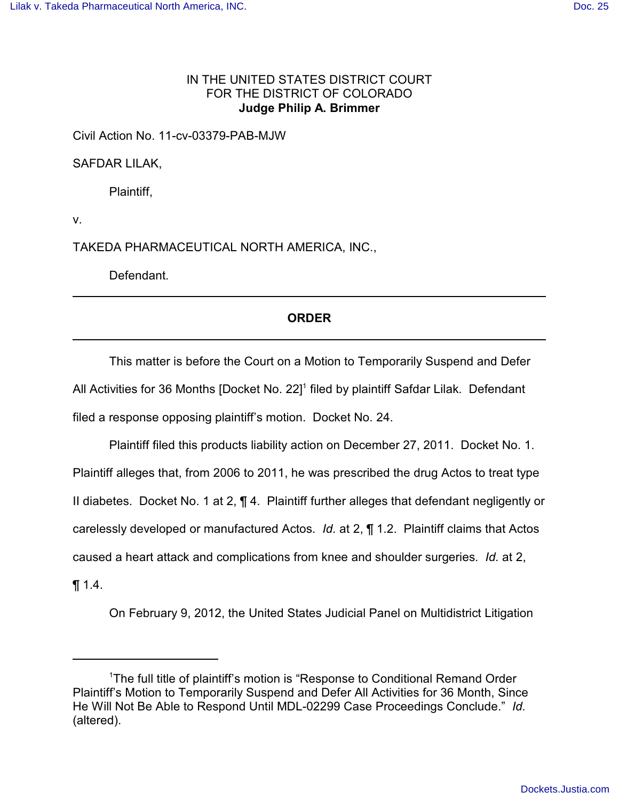## IN THE UNITED STATES DISTRICT COURT FOR THE DISTRICT OF COLORADO **Judge Philip A. Brimmer**

## Civil Action No. 11-cv-03379-PAB-MJW

SAFDAR LILAK,

Plaintiff,

v.

TAKEDA PHARMACEUTICAL NORTH AMERICA, INC.,

Defendant.

## **ORDER**

This matter is before the Court on a Motion to Temporarily Suspend and Defer All Activities for 36 Months [Docket No. 22]<sup>1</sup> filed by plaintiff Safdar Lilak. Defendant filed a response opposing plaintiff's motion. Docket No. 24.

Plaintiff filed this products liability action on December 27, 2011. Docket No. 1. Plaintiff alleges that, from 2006 to 2011, he was prescribed the drug Actos to treat type II diabetes. Docket No. 1 at 2, ¶ 4. Plaintiff further alleges that defendant negligently or carelessly developed or manufactured Actos. *Id.* at 2, ¶ 1.2. Plaintiff claims that Actos caused a heart attack and complications from knee and shoulder surgeries. *Id.* at 2, ¶ 1.4.

On February 9, 2012, the United States Judicial Panel on Multidistrict Litigation

<sup>&</sup>lt;sup>1</sup>The full title of plaintiff's motion is "Response to Conditional Remand Order Plaintiff's Motion to Temporarily Suspend and Defer All Activities for 36 Month, Since He Will Not Be Able to Respond Until MDL-02299 Case Proceedings Conclude." *Id.* (altered).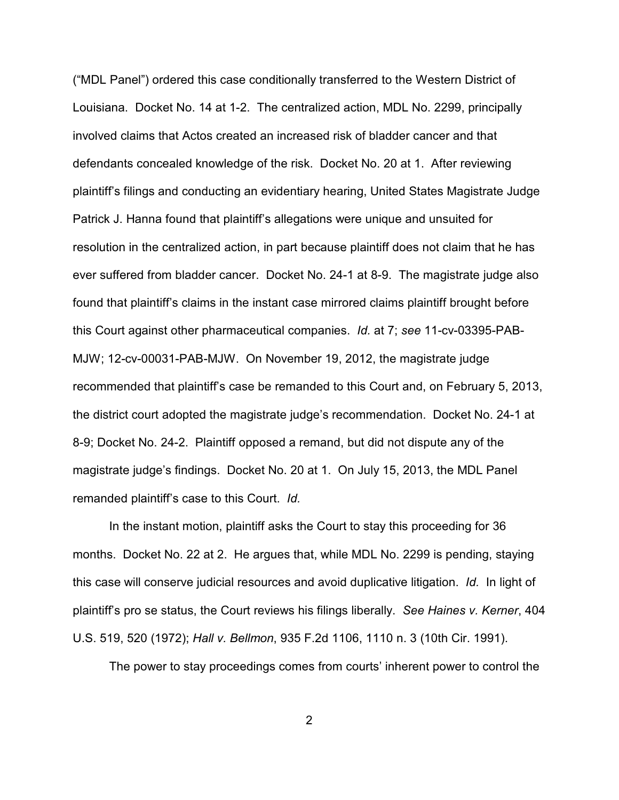("MDL Panel") ordered this case conditionally transferred to the Western District of Louisiana. Docket No. 14 at 1-2. The centralized action, MDL No. 2299, principally involved claims that Actos created an increased risk of bladder cancer and that defendants concealed knowledge of the risk. Docket No. 20 at 1. After reviewing plaintiff's filings and conducting an evidentiary hearing, United States Magistrate Judge Patrick J. Hanna found that plaintiff's allegations were unique and unsuited for resolution in the centralized action, in part because plaintiff does not claim that he has ever suffered from bladder cancer. Docket No. 24-1 at 8-9. The magistrate judge also found that plaintiff's claims in the instant case mirrored claims plaintiff brought before this Court against other pharmaceutical companies. *Id.* at 7; *see* 11-cv-03395-PAB-MJW; 12-cv-00031-PAB-MJW. On November 19, 2012, the magistrate judge recommended that plaintiff's case be remanded to this Court and, on February 5, 2013, the district court adopted the magistrate judge's recommendation. Docket No. 24-1 at 8-9; Docket No. 24-2. Plaintiff opposed a remand, but did not dispute any of the magistrate judge's findings. Docket No. 20 at 1. On July 15, 2013, the MDL Panel remanded plaintiff's case to this Court. *Id.*

In the instant motion, plaintiff asks the Court to stay this proceeding for 36 months. Docket No. 22 at 2. He argues that, while MDL No. 2299 is pending, staying this case will conserve judicial resources and avoid duplicative litigation. *Id.* In light of plaintiff's pro se status, the Court reviews his filings liberally. *See Haines v. Kerner*, 404 U.S. 519, 520 (1972); *Hall v. Bellmon*, 935 F.2d 1106, 1110 n. 3 (10th Cir. 1991).

The power to stay proceedings comes from courts' inherent power to control the

2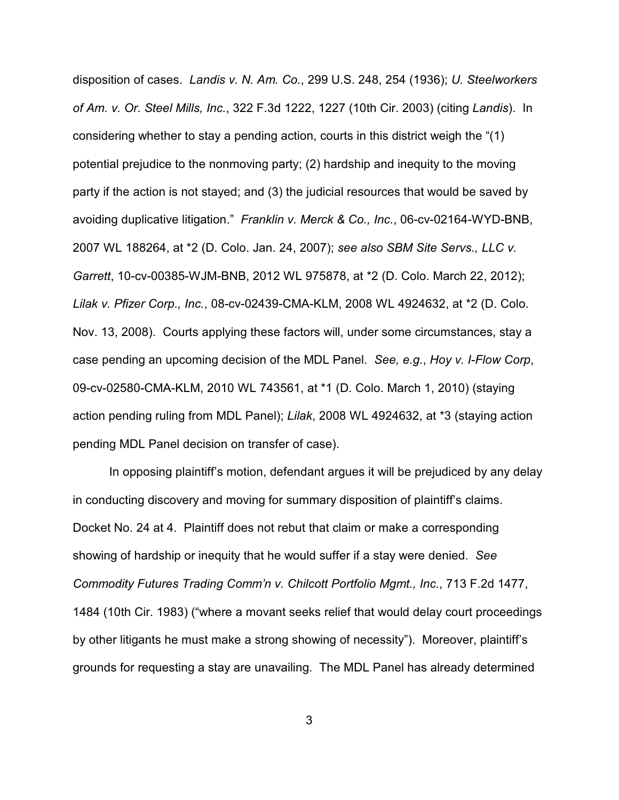disposition of cases. *Landis v. N. Am. Co.*, 299 U.S. 248, 254 (1936); *U. Steelworkers of Am. v. Or. Steel Mills, Inc.*, 322 F.3d 1222, 1227 (10th Cir. 2003) (citing *Landis*). In considering whether to stay a pending action, courts in this district weigh the "(1) potential prejudice to the nonmoving party; (2) hardship and inequity to the moving party if the action is not stayed; and (3) the judicial resources that would be saved by avoiding duplicative litigation." *Franklin v. Merck & Co., Inc.*, 06-cv-02164-WYD-BNB, 2007 WL 188264, at \*2 (D. Colo. Jan. 24, 2007); *see also SBM Site Servs., LLC v. Garrett*, 10-cv-00385-WJM-BNB, 2012 WL 975878, at \*2 (D. Colo. March 22, 2012); *Lilak v. Pfizer Corp., Inc.*, 08-cv-02439-CMA-KLM, 2008 WL 4924632, at \*2 (D. Colo. Nov. 13, 2008). Courts applying these factors will, under some circumstances, stay a case pending an upcoming decision of the MDL Panel. *See, e.g.*, *Hoy v. I-Flow Corp*, 09-cv-02580-CMA-KLM, 2010 WL 743561, at \*1 (D. Colo. March 1, 2010) (staying action pending ruling from MDL Panel); *Lilak*, 2008 WL 4924632, at \*3 (staying action pending MDL Panel decision on transfer of case).

In opposing plaintiff's motion, defendant argues it will be prejudiced by any delay in conducting discovery and moving for summary disposition of plaintiff's claims. Docket No. 24 at 4. Plaintiff does not rebut that claim or make a corresponding showing of hardship or inequity that he would suffer if a stay were denied. *See Commodity Futures Trading Comm'n v. Chilcott Portfolio Mgmt., Inc.*, 713 F.2d 1477, 1484 (10th Cir. 1983) ("where a movant seeks relief that would delay court proceedings by other litigants he must make a strong showing of necessity"). Moreover, plaintiff's grounds for requesting a stay are unavailing. The MDL Panel has already determined

3